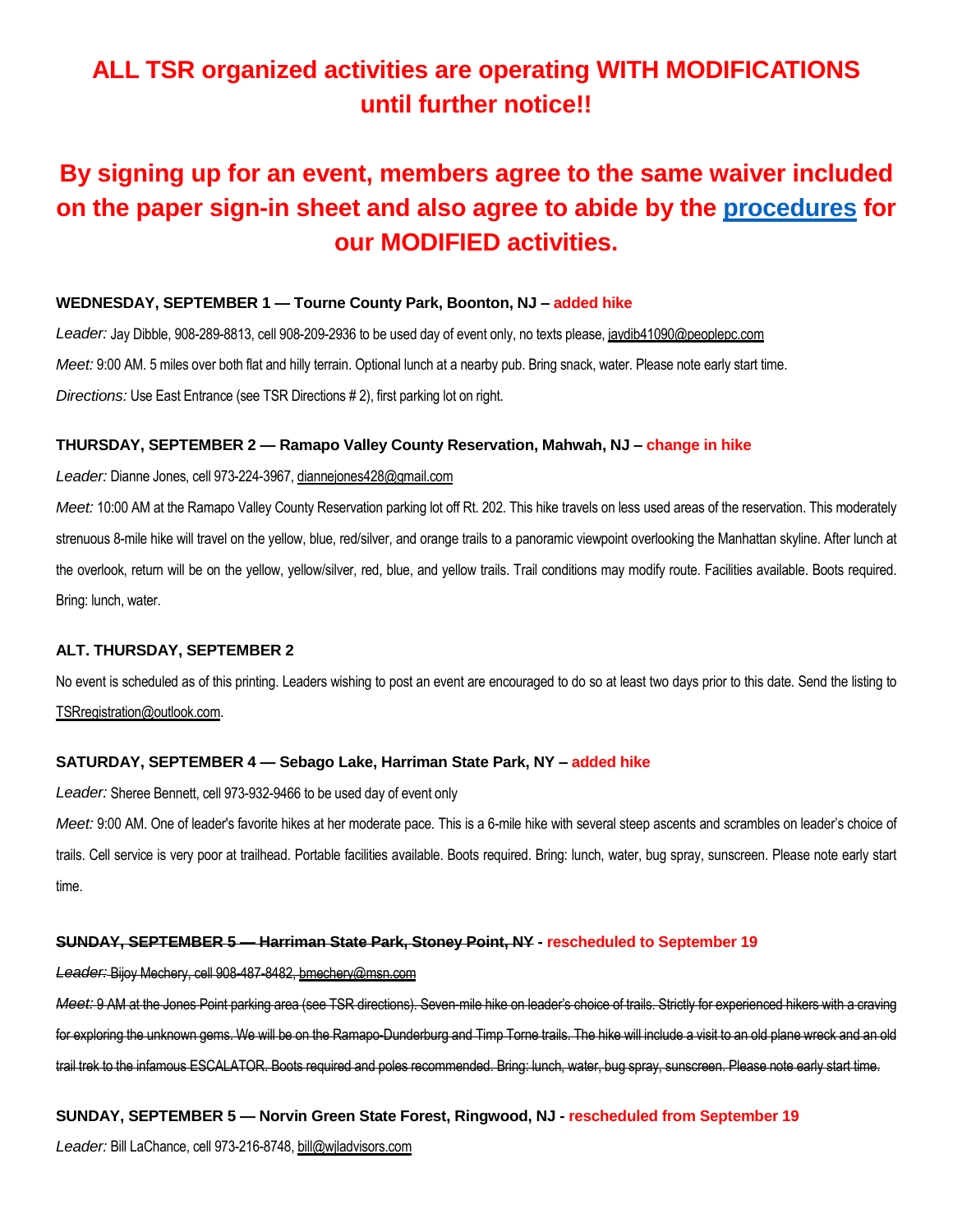# **ALL TSR organized activities are operating WITH MODIFICATIONS until further notice!!**

# **By signing up for an event, members agree to the same waiver included on the paper sign-in sheet and also agree to abide by the [procedures](https://5a563b5d-c9a2-443f-a97b-1fb65c38494e.usrfiles.com/ugd/5a563b_117d15c7ddb94dd7b01d342d48ba8484.pdf) for our MODIFIED activities.**

### **WEDNESDAY, SEPTEMBER 1 — Tourne County Park, Boonton, NJ – added hike**

Leader: Jay Dibble, 908-289-8813, cell 908-209-2936 to be used day of event only, no texts please, jaydib41090@peoplepc.com *Meet:* 9:00 AM. 5 miles over both flat and hilly terrain. Optional lunch at a nearby pub. Bring snack, water. Please note early start time. *Directions:* Use East Entrance (see TSR Directions # 2), first parking lot on right.

### **THURSDAY, SEPTEMBER 2 — Ramapo Valley County Reservation, Mahwah, NJ – change in hike**

#### *Leader:* Dianne Jones, cell 973-224-3967, diannejones428@gmail.com

*Meet:* 10:00 AM at the Ramapo Valley County Reservation parking lot off Rt. 202. This hike travels on less used areas of the reservation. This moderately strenuous 8-mile hike will travel on the yellow, blue, red/silver, and orange trails to a panoramic viewpoint overlooking the Manhattan skyline. After lunch at the overlook, return will be on the yellow, yellow/silver, red, blue, and yellow trails. Trail conditions may modify route. Facilities available. Boots required. Bring: lunch, water.

#### **ALT. THURSDAY, SEPTEMBER 2**

No event is scheduled as of this printing. Leaders wishing to post an event are encouraged to do so at least two days prior to this date. Send the listing to TSRregistration@outlook.com.

#### **SATURDAY, SEPTEMBER 4 — Sebago Lake, Harriman State Park, NY – added hike**

*Leader:* Sheree Bennett, cell 973-932-9466 to be used day of event only

*Meet:* 9:00 AM. One of leader's favorite hikes at her moderate pace. This is a 6-mile hike with several steep ascents and scrambles on leader's choice of trails. Cell service is very poor at trailhead. Portable facilities available. Boots required. Bring: lunch, water, bug spray, sunscreen. Please note early start time.

#### **SUNDAY, SEPTEMBER 5 — Harriman State Park, Stoney Point, NY - rescheduled to September 19**

*Leader:* Bijoy Mechery, cell 908-487-8482, bmechery@msn.com

*Meet:* 9 AM at the Jones Point parking area (see TSR directions). Seven-mile hike on leader's choice of trails. Strictly for experienced hikers with a craving for exploring the unknown gems. We will be on the Ramapo-Dunderburg and Timp Torne trails. The hike will include a visit to an old plane wreck and an old trail trek to the infamous ESCALATOR. Boots required and poles recommended. Bring: lunch, water, bug spray, sunscreen. Please note early start time.

#### **SUNDAY, SEPTEMBER 5 — Norvin Green State Forest, Ringwood, NJ - rescheduled from September 19**

*Leader:* Bill LaChance, cell 973-216-8748, bill@wjladvisors.com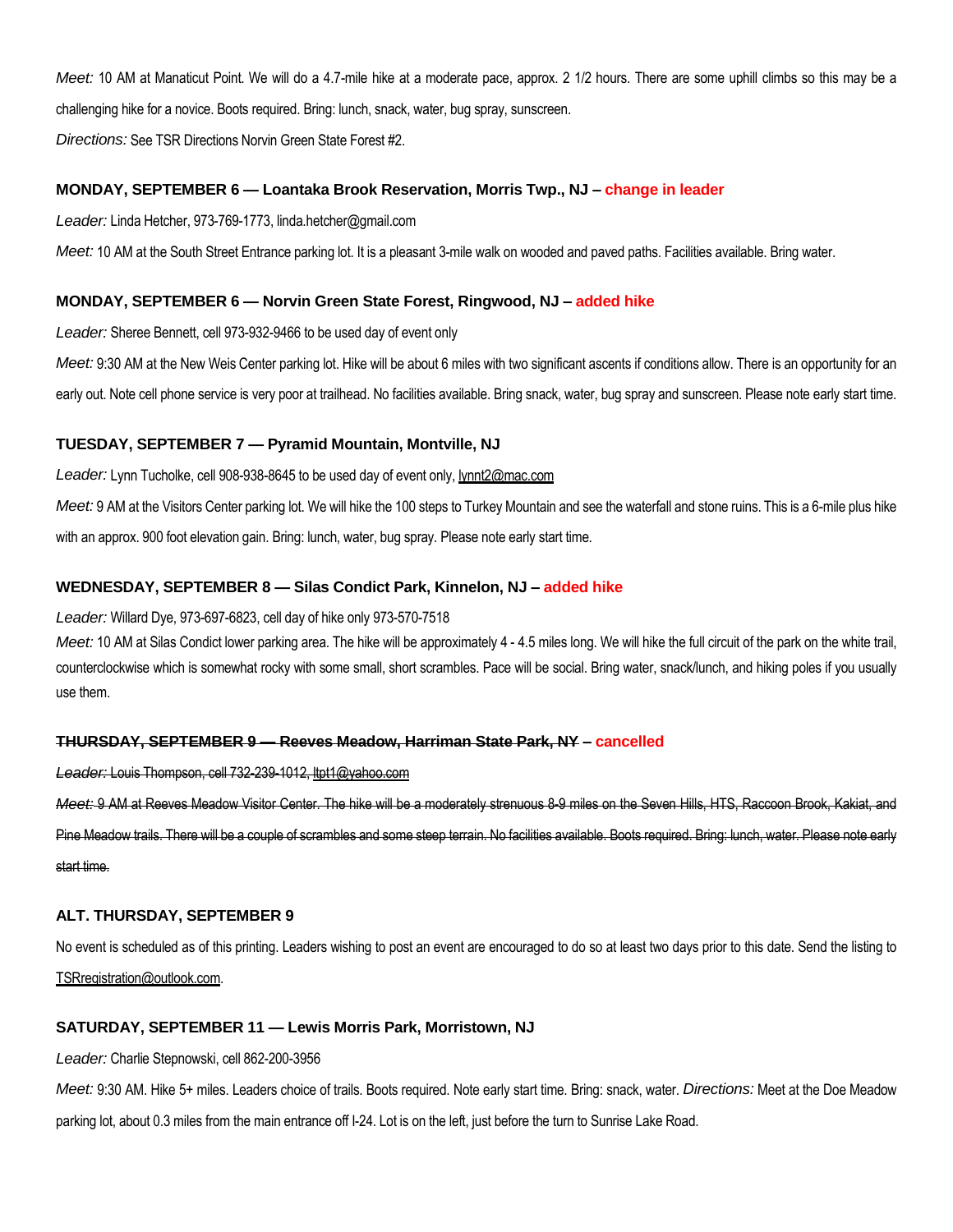*Meet:* 10 AM at Manaticut Point. We will do a 4.7-mile hike at a moderate pace, approx. 2 1/2 hours. There are some uphill climbs so this may be a challenging hike for a novice. Boots required. Bring: lunch, snack, water, bug spray, sunscreen.

*Directions:* See TSR Directions Norvin Green State Forest #2.

# **MONDAY, SEPTEMBER 6 — Loantaka Brook Reservation, Morris Twp., NJ – change in leader**

*Leader:* Linda Hetcher, 973-769-1773, linda.hetcher@gmail.com

*Meet:* 10 AM at the South Street Entrance parking lot. It is a pleasant 3-mile walk on wooded and paved paths. Facilities available. Bring water.

## **MONDAY, SEPTEMBER 6 — Norvin Green State Forest, Ringwood, NJ – added hike**

*Leader:* Sheree Bennett, cell 973-932-9466 to be used day of event only

Meet: 9:30 AM at the New Weis Center parking lot. Hike will be about 6 miles with two significant ascents if conditions allow. There is an opportunity for an early out. Note cell phone service is very poor at trailhead. No facilities available. Bring snack, water, bug spray and sunscreen. Please note early start time.

# **TUESDAY, SEPTEMBER 7 — Pyramid Mountain, Montville, NJ**

*Leader:* Lynn Tucholke, cell 908-938-8645 to be used day of event only, lynnt2@mac.com

*Meet:* 9 AM at the Visitors Center parking lot. We will hike the 100 steps to Turkey Mountain and see the waterfall and stone ruins. This is a 6-mile plus hike with an approx. 900 foot elevation gain. Bring: lunch, water, bug spray. Please note early start time.

# **WEDNESDAY, SEPTEMBER 8 — Silas Condict Park, Kinnelon, NJ – added hike**

*Leader:* Willard Dye, 973-697-6823, cell day of hike only 973-570-7518

Meet: 10 AM at Silas Condict lower parking area. The hike will be approximately 4 - 4.5 miles long. We will hike the full circuit of the park on the white trail, counterclockwise which is somewhat rocky with some small, short scrambles. Pace will be social. Bring water, snack/lunch, and hiking poles if you usually use them.

# **THURSDAY, SEPTEMBER 9 — Reeves Meadow, Harriman State Park, NY – cancelled**

*Leader:* Louis Thompson, cell 732-239-1012, ltpt1@yahoo.com

*Meet:* 9 AM at Reeves Meadow Visitor Center. The hike will be a moderately strenuous 8-9 miles on the Seven Hills, HTS, Raccoon Brook, Kakiat, and Pine Meadow trails. There will be a couple of scrambles and some steep terrain. No facilities available. Boots required. Bring: lunch, water. Please note early start time.

# **ALT. THURSDAY, SEPTEMBER 9**

No event is scheduled as of this printing. Leaders wishing to post an event are encouraged to do so at least two days prior to this date. Send the listing to TSRregistration@outlook.com.

# **SATURDAY, SEPTEMBER 11 — Lewis Morris Park, Morristown, NJ**

*Leader:* Charlie Stepnowski, cell 862-200-3956

*Meet:* 9:30 AM. Hike 5+ miles. Leaders choice of trails. Boots required. Note early start time. Bring: snack, water. *Directions:* Meet at the Doe Meadow parking lot, about 0.3 miles from the main entrance off I-24. Lot is on the left, just before the turn to Sunrise Lake Road.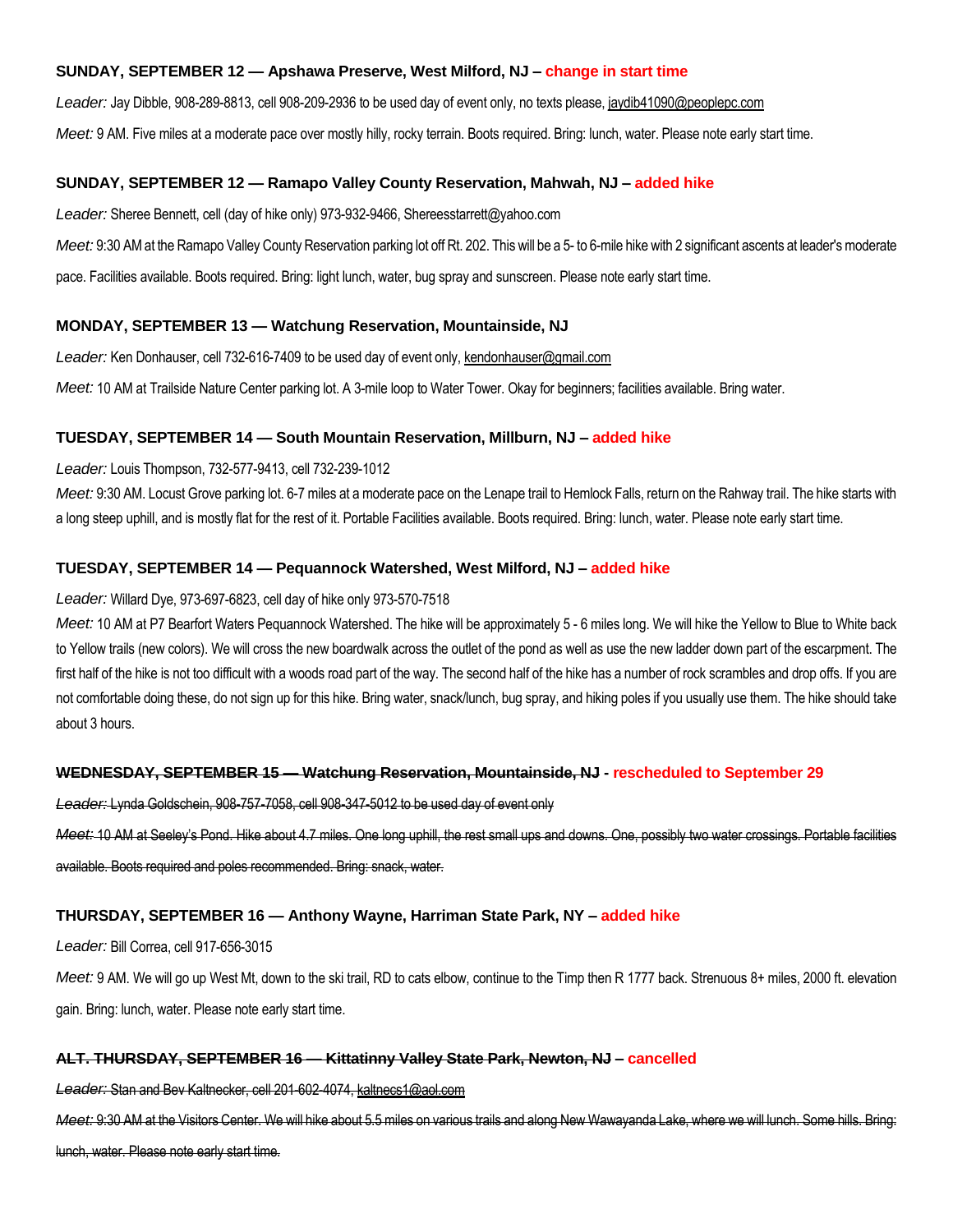# **SUNDAY, SEPTEMBER 12 — Apshawa Preserve, West Milford, NJ – change in start time**

*Leader:* Jay Dibble, 908-289-8813, cell 908-209-2936 to be used day of event only, no texts please, jaydib41090@peoplepc.com

*Meet:* 9 AM. Five miles at a moderate pace over mostly hilly, rocky terrain. Boots required. Bring: lunch, water. Please note early start time.

# **SUNDAY, SEPTEMBER 12 — Ramapo Valley County Reservation, Mahwah, NJ – added hike**

*Leader:* Sheree Bennett, cell (day of hike only) 973-932-9466, Shereesstarrett@yahoo.com

*Meet:* 9:30 AM at the Ramapo Valley County Reservation parking lot off Rt. 202. This will be a 5- to 6-mile hike with 2 significant ascents at leader's moderate pace. Facilities available. Boots required. Bring: light lunch, water, bug spray and sunscreen. Please note early start time.

# **MONDAY, SEPTEMBER 13 — Watchung Reservation, Mountainside, NJ**

*Leader:* Ken Donhauser, cell 732-616-7409 to be used day of event only, kendonhauser@gmail.com

*Meet:* 10 AM at Trailside Nature Center parking lot. A 3-mile loop to Water Tower. Okay for beginners; facilities available. Bring water.

# **TUESDAY, SEPTEMBER 14 — South Mountain Reservation, Millburn, NJ – added hike**

# *Leader:* Louis Thompson, 732-577-9413, cell 732-239-1012

*Meet:* 9:30 AM. Locust Grove parking lot. 6-7 miles at a moderate pace on the Lenape trail to Hemlock Falls, return on the Rahway trail. The hike starts with a long steep uphill, and is mostly flat for the rest of it. Portable Facilities available. Boots required. Bring: lunch, water. Please note early start time.

# **TUESDAY, SEPTEMBER 14 — Pequannock Watershed, West Milford, NJ – added hike**

### *Leader:* Willard Dye, 973-697-6823, cell day of hike only 973-570-7518

*Meet:* 10 AM at P7 Bearfort Waters Pequannock Watershed. The hike will be approximately 5 - 6 miles long. We will hike the Yellow to Blue to White back to Yellow trails (new colors). We will cross the new boardwalk across the outlet of the pond as well as use the new ladder down part of the escarpment. The first half of the hike is not too difficult with a woods road part of the way. The second half of the hike has a number of rock scrambles and drop offs. If you are not comfortable doing these, do not sign up for this hike. Bring water, snack/lunch, bug spray, and hiking poles if you usually use them. The hike should take about 3 hours.

# **WEDNESDAY, SEPTEMBER 15 — Watchung Reservation, Mountainside, NJ - rescheduled to September 29**

*Leader:* Lynda Goldschein, 908-757-7058, cell 908-347-5012 to be used day of event only

*Meet:* 10 AM at Seeley's Pond. Hike about 4.7 miles. One long uphill, the rest small ups and downs. One, possibly two water crossings. Portable facilities available. Boots required and poles recommended. Bring: snack, water.

# **THURSDAY, SEPTEMBER 16 — Anthony Wayne, Harriman State Park, NY – added hike**

#### *Leader:* Bill Correa, cell 917-656-3015

Meet: 9 AM. We will go up West Mt, down to the ski trail, RD to cats elbow, continue to the Timp then R 1777 back. Strenuous 8+ miles, 2000 ft. elevation gain. Bring: lunch, water. Please note early start time.

# **ALT. THURSDAY, SEPTEMBER 16 — Kittatinny Valley State Park, Newton, NJ – cancelled**

#### *Leader:* Stan and Bev Kaltnecker, cell 201-602-4074, kaltnecs1@aol.com

*Meet:* 9:30 AM at the Visitors Center. We will hike about 5.5 miles on various trails and along New Wawayanda Lake, where we will lunch. Some hills. Bring: lunch, water. Please note early start time.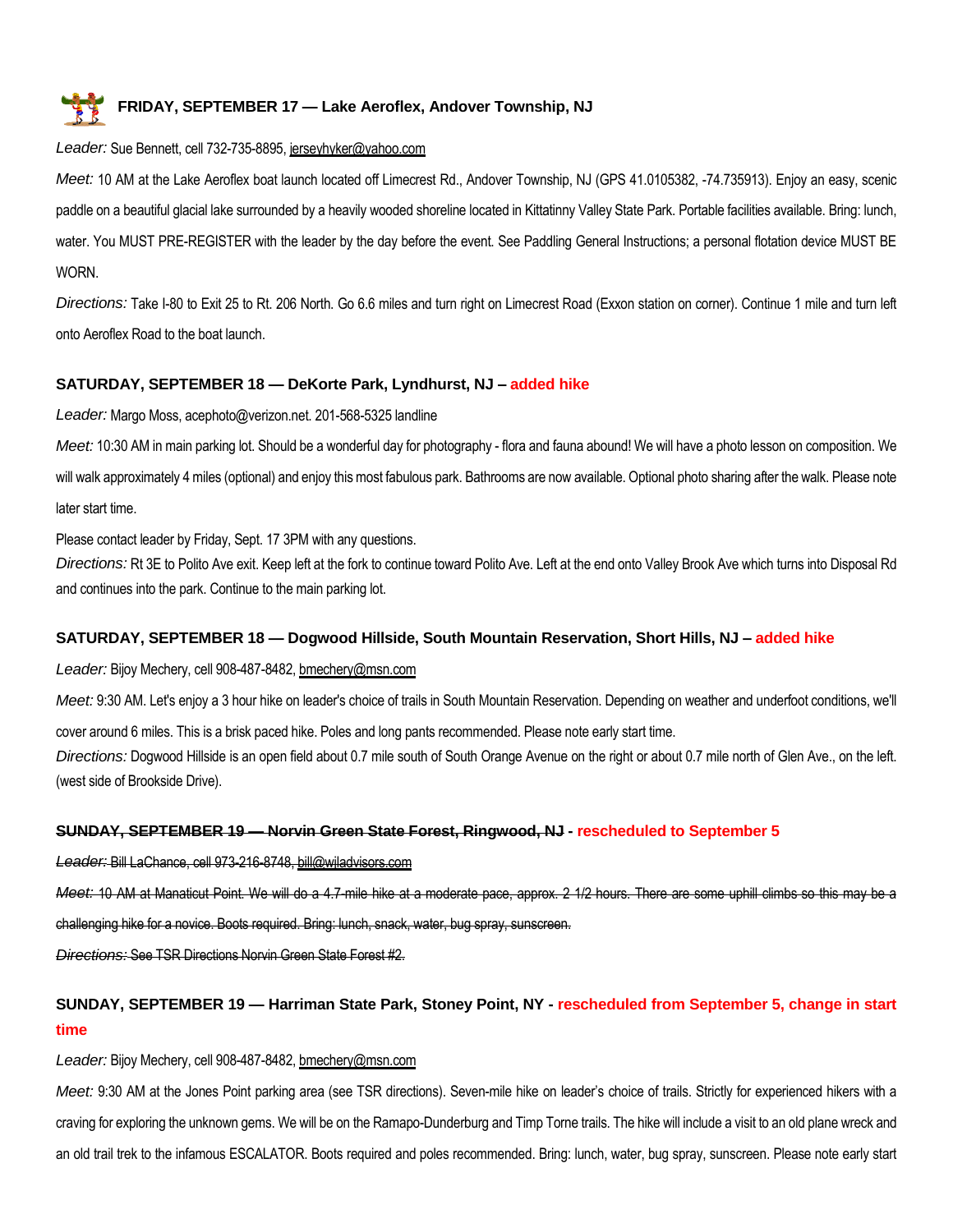# **FRIDAY, SEPTEMBER 17 — Lake Aeroflex, Andover Township, NJ**

# *Leader:* Sue Bennett, cell 732-735-8895, jerseyhyker@yahoo.com

*Meet:* 10 AM at the Lake Aeroflex boat launch located off Limecrest Rd., Andover Township, NJ (GPS 41.0105382, -74.735913). Enjoy an easy, scenic paddle on a beautiful glacial lake surrounded by a heavily wooded shoreline located in Kittatinny Valley State Park. Portable facilities available. Bring: lunch, water. You MUST PRE-REGISTER with the leader by the day before the event. See Paddling General Instructions; a personal flotation device MUST BE **WORN** 

*Directions:* Take I-80 to Exit 25 to Rt. 206 North. Go 6.6 miles and turn right on Limecrest Road (Exxon station on corner). Continue 1 mile and turn left onto Aeroflex Road to the boat launch.

# **SATURDAY, SEPTEMBER 18 — DeKorte Park, Lyndhurst, NJ – added hike**

*Leader:* Margo Moss, acephoto@verizon.net. 201-568-5325 landline

*Meet:* 10:30 AM in main parking lot. Should be a wonderful day for photography - flora and fauna abound! We will have a photo lesson on composition. We will walk approximately 4 miles (optional) and enjoy this most fabulous park. Bathrooms are now available. Optional photo sharing after the walk. Please note later start time.

Please contact leader by Friday, Sept. 17 3PM with any questions.

*Directions:* Rt 3E to Polito Ave exit. Keep left at the fork to continue toward Polito Ave. Left at the end onto Valley Brook Ave which turns into Disposal Rd and continues into the park. Continue to the main parking lot.

# **SATURDAY, SEPTEMBER 18 — Dogwood Hillside, South Mountain Reservation, Short Hills, NJ – added hike**

*Leader:* Bijoy Mechery, cell 908-487-8482, bmechery@msn.com

*Meet:* 9:30 AM. Let's enjoy a 3 hour hike on leader's choice of trails in South Mountain Reservation. Depending on weather and underfoot conditions, we'll

cover around 6 miles. This is a brisk paced hike. Poles and long pants recommended. Please note early start time.

*Directions:* Dogwood Hillside is an open field about 0.7 mile south of South Orange Avenue on the right or about 0.7 mile north of Glen Ave., on the left. (west side of Brookside Drive).

# **SUNDAY, SEPTEMBER 19 — Norvin Green State Forest, Ringwood, NJ - rescheduled to September 5**

*Leader:* Bill LaChance, cell 973-216-8748, bill@wjladvisors.com

*Meet:* 10 AM at Manaticut Point. We will do a 4.7-mile hike at a moderate pace, approx. 2 1/2 hours. There are some uphill climbs so this may be a

challenging hike for a novice. Boots required. Bring: lunch, snack, water, bug spray, sunscreen.

*Directions:* See TSR Directions Norvin Green State Forest #2.

# **SUNDAY, SEPTEMBER 19 — Harriman State Park, Stoney Point, NY - rescheduled from September 5, change in start time**

# *Leader:* Bijoy Mechery, cell 908-487-8482, bmechery@msn.com

*Meet:* 9:30 AM at the Jones Point parking area (see TSR directions). Seven-mile hike on leader's choice of trails. Strictly for experienced hikers with a craving for exploring the unknown gems. We will be on the Ramapo-Dunderburg and Timp Torne trails. The hike will include a visit to an old plane wreck and an old trail trek to the infamous ESCALATOR. Boots required and poles recommended. Bring: lunch, water, bug spray, sunscreen. Please note early start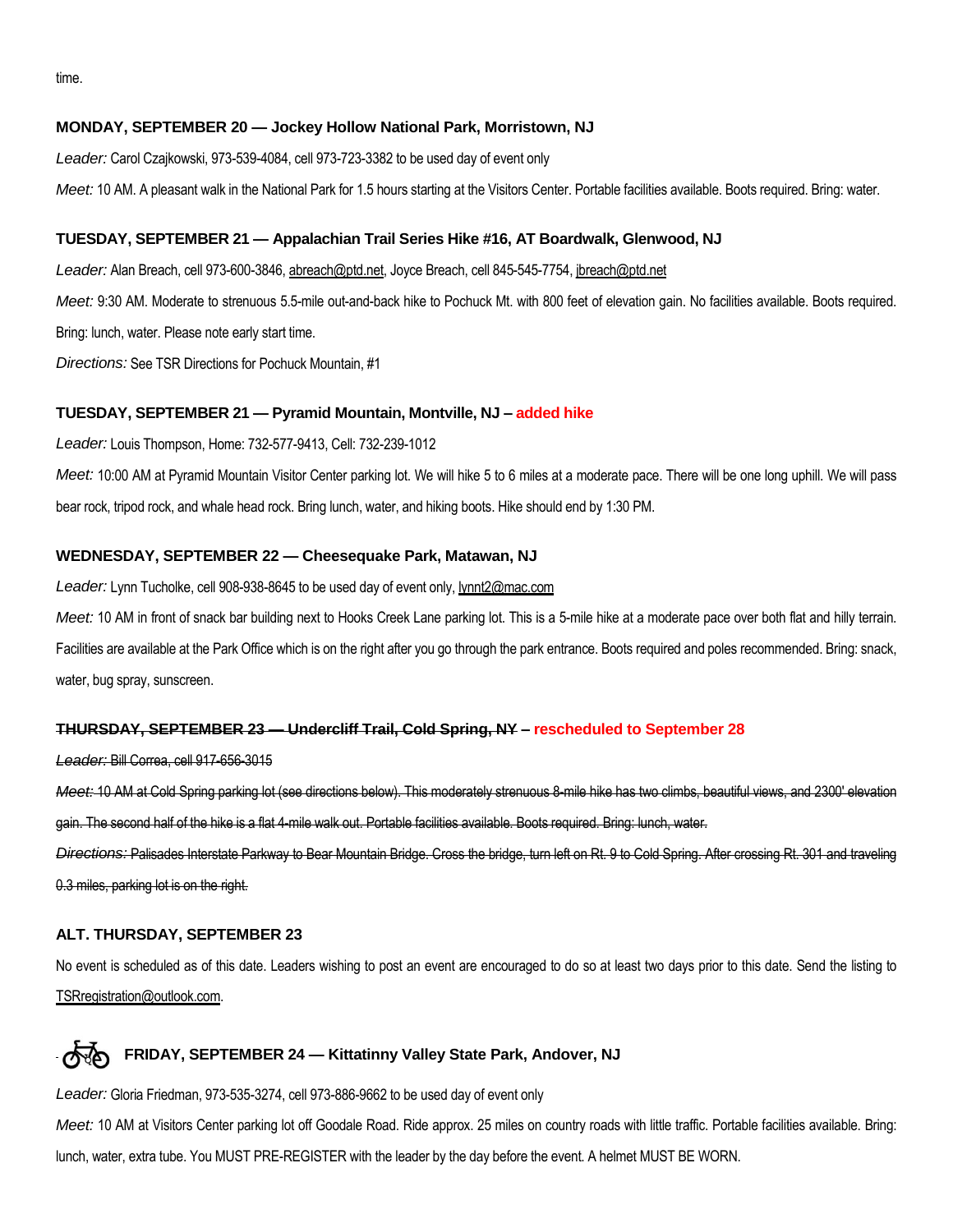time.

# **MONDAY, SEPTEMBER 20 — Jockey Hollow National Park, Morristown, NJ**

*Leader:* Carol Czajkowski, 973-539-4084, cell 973-723-3382 to be used day of event only

*Meet:* 10 AM. A pleasant walk in the National Park for 1.5 hours starting at the Visitors Center. Portable facilities available. Boots required. Bring: water.

#### **TUESDAY, SEPTEMBER 21 — Appalachian Trail Series Hike #16, AT Boardwalk, Glenwood, NJ**

*Leader:* Alan Breach, cell 973-600-3846, abreach@ptd.net, Joyce Breach, cell 845-545-7754, jbreach@ptd.net *Meet:* 9:30 AM. Moderate to strenuous 5.5-mile out-and-back hike to Pochuck Mt. with 800 feet of elevation gain. No facilities available. Boots required. Bring: lunch, water. Please note early start time. *Directions:* See TSR Directions for Pochuck Mountain, #1

#### **TUESDAY, SEPTEMBER 21 — Pyramid Mountain, Montville, NJ – added hike**

*Leader:* Louis Thompson, Home: 732-577-9413, Cell: 732-239-1012

*Meet:* 10:00 AM at Pyramid Mountain Visitor Center parking lot. We will hike 5 to 6 miles at a moderate pace. There will be one long uphill. We will pass bear rock, tripod rock, and whale head rock. Bring lunch, water, and hiking boots. Hike should end by 1:30 PM.

## **WEDNESDAY, SEPTEMBER 22 — Cheesequake Park, Matawan, NJ**

*Leader:* Lynn Tucholke, cell 908-938-8645 to be used day of event only, lynnt2@mac.com

*Meet:* 10 AM in front of snack bar building next to Hooks Creek Lane parking lot. This is a 5-mile hike at a moderate pace over both flat and hilly terrain.

Facilities are available at the Park Office which is on the right after you go through the park entrance. Boots required and poles recommended. Bring: snack, water, bug spray, sunscreen.

#### **THURSDAY, SEPTEMBER 23 — Undercliff Trail, Cold Spring, NY – rescheduled to September 28**

#### *Leader:* Bill Correa, cell 917-656-3015

*Meet:* 10 AM at Cold Spring parking lot (see directions below). This moderately strenuous 8-mile hike has two climbs, beautiful views, and 2300' elevation gain. The second half of the hike is a flat 4-mile walk out. Portable facilities available. Boots required. Bring: lunch, water. *Directions:* Palisades Interstate Parkway to Bear Mountain Bridge. Cross the bridge, turn left on Rt. 9 to Cold Spring. After crossing Rt. 301 and traveling

0.3 miles, parking lot is on the right.

#### **ALT. THURSDAY, SEPTEMBER 23**

No event is scheduled as of this date. Leaders wishing to post an event are encouraged to do so at least two days prior to this date. Send the listing to TSRregistration@outlook.com.

# **FRIDAY, SEPTEMBER 24 — Kittatinny Valley State Park, Andover, NJ**

*Leader:* Gloria Friedman, 973-535-3274, cell 973-886-9662 to be used day of event only

*Meet:* 10 AM at Visitors Center parking lot off Goodale Road. Ride approx. 25 miles on country roads with little traffic. Portable facilities available. Bring: lunch, water, extra tube. You MUST PRE-REGISTER with the leader by the day before the event. A helmet MUST BE WORN.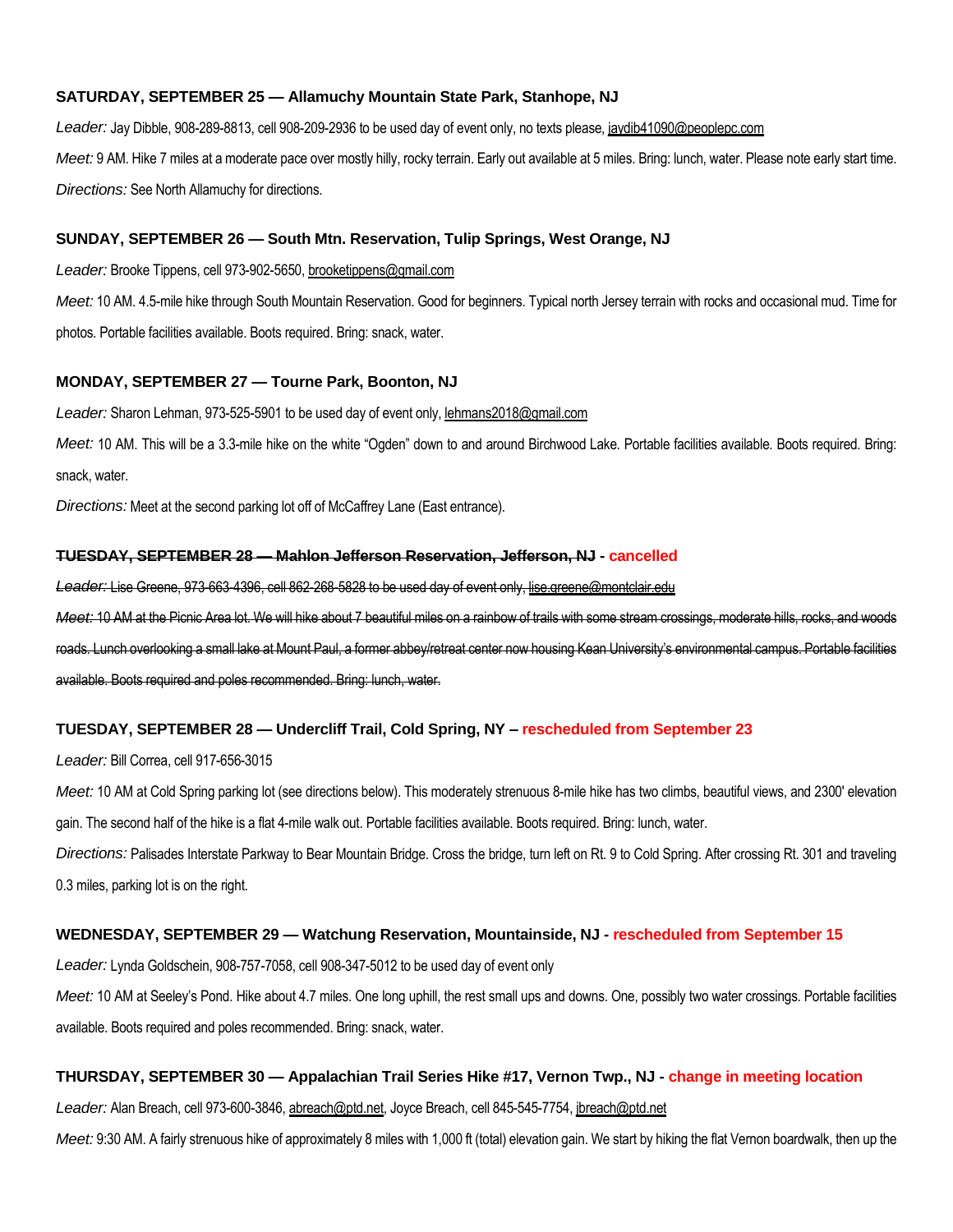#### **SATURDAY, SEPTEMBER 25 — Allamuchy Mountain State Park, Stanhope, NJ**

*Leader:* Jay Dibble, 908-289-8813, cell 908-209-2936 to be used day of event only, no texts please, jaydib41090@peoplepc.com Meet: 9 AM. Hike 7 miles at a moderate pace over mostly hilly, rocky terrain. Early out available at 5 miles. Bring: lunch, water. Please note early start time. *Directions:* See North Allamuchy for directions.

## **SUNDAY, SEPTEMBER 26 — South Mtn. Reservation, Tulip Springs, West Orange, NJ**

*Leader:* Brooke Tippens, cell 973-902-5650, brooketippens@gmail.com

*Meet:* 10 AM. 4.5-mile hike through South Mountain Reservation. Good for beginners. Typical north Jersey terrain with rocks and occasional mud. Time for photos. Portable facilities available. Boots required. Bring: snack, water.

#### **MONDAY, SEPTEMBER 27 — Tourne Park, Boonton, NJ**

Leader: Sharon Lehman, 973-525-5901 to be used day of event only, lehmans2018@gmail.com

*Meet:* 10 AM. This will be a 3.3-mile hike on the white "Ogden" down to and around Birchwood Lake. Portable facilities available. Boots required. Bring: snack, water.

*Directions:* Meet at the second parking lot off of McCaffrey Lane (East entrance).

### **TUESDAY, SEPTEMBER 28 — Mahlon Jefferson Reservation, Jefferson, NJ - cancelled**

*Leader:* Lise Greene, 973-663-4396, cell 862-268-5828 to be used day of event only, lise.greene@montclair.edu

*Meet:* 10 AM at the Picnic Area lot. We will hike about 7 beautiful miles on a rainbow of trails with some stream crossings, moderate hills, rocks, and woods roads. Lunch overlooking a small lake at Mount Paul, a former abbey/retreat center now housing Kean University's environmental campus. Portable facilities available. Boots required and poles recommended. Bring: lunch, water.

#### **TUESDAY, SEPTEMBER 28 — Undercliff Trail, Cold Spring, NY – rescheduled from September 23**

*Leader:* Bill Correa, cell 917-656-3015

*Meet:* 10 AM at Cold Spring parking lot (see directions below). This moderately strenuous 8-mile hike has two climbs, beautiful views, and 2300' elevation gain. The second half of the hike is a flat 4-mile walk out. Portable facilities available. Boots required. Bring: lunch, water.

*Directions:* Palisades Interstate Parkway to Bear Mountain Bridge. Cross the bridge, turn left on Rt. 9 to Cold Spring. After crossing Rt. 301 and traveling 0.3 miles, parking lot is on the right.

#### **WEDNESDAY, SEPTEMBER 29 — Watchung Reservation, Mountainside, NJ - rescheduled from September 15**

*Leader:* Lynda Goldschein, 908-757-7058, cell 908-347-5012 to be used day of event only

*Meet:* 10 AM at Seeley's Pond. Hike about 4.7 miles. One long uphill, the rest small ups and downs. One, possibly two water crossings. Portable facilities available. Boots required and poles recommended. Bring: snack, water.

## **THURSDAY, SEPTEMBER 30 — Appalachian Trail Series Hike #17, Vernon Twp., NJ - change in meeting location**

*Leader:* Alan Breach, cell 973-600-3846, abreach@ptd.net, Joyce Breach, cell 845-545-7754, jbreach@ptd.net

Meet: 9:30 AM. A fairly strenuous hike of approximately 8 miles with 1,000 ft (total) elevation gain. We start by hiking the flat Vernon boardwalk, then up the